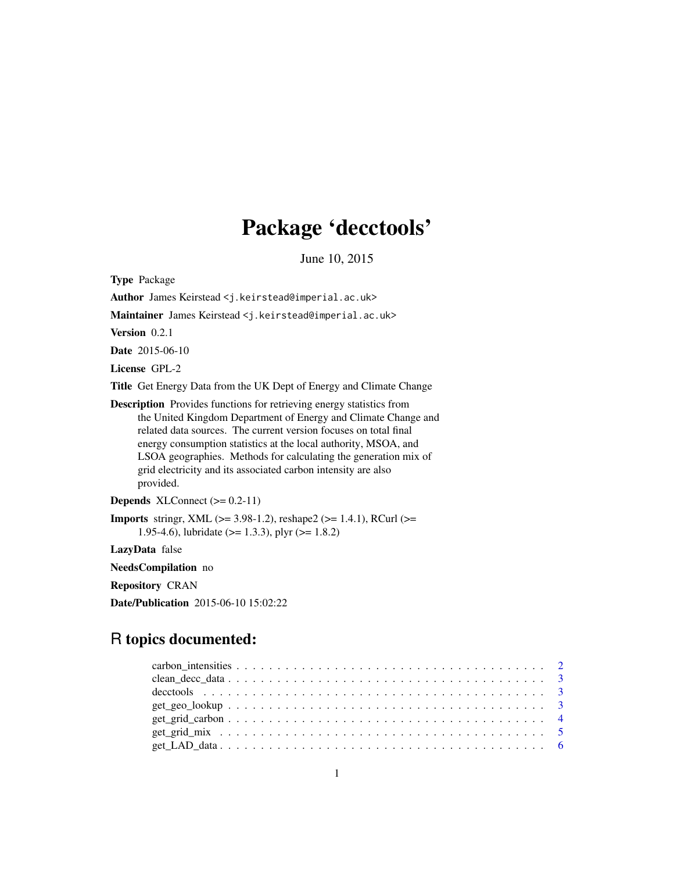## Package 'decctools'

June 10, 2015

Type Package Author James Keirstead <j.keirstead@imperial.ac.uk> Maintainer James Keirstead <j.keirstead@imperial.ac.uk> Version 0.2.1 Date 2015-06-10 License GPL-2 Title Get Energy Data from the UK Dept of Energy and Climate Change Description Provides functions for retrieving energy statistics from the United Kingdom Department of Energy and Climate Change and related data sources. The current version focuses on total final energy consumption statistics at the local authority, MSOA, and LSOA geographies. Methods for calculating the generation mix of grid electricity and its associated carbon intensity are also provided. **Depends** XLConnect  $(>= 0.2-11)$ **Imports** stringr, XML ( $>= 3.98-1.2$ ), reshape2 ( $>= 1.4.1$ ), RCurl ( $>=$ 1.95-4.6), lubridate ( $> = 1.3.3$ ), plyr ( $> = 1.8.2$ ) LazyData false

NeedsCompilation no

Repository CRAN

Date/Publication 2015-06-10 15:02:22

## R topics documented:

| $get\_grid\_carbon \dots \dots \dots \dots \dots \dots \dots \dots \dots \dots \dots \dots \dots \dots \dots$ |  |
|---------------------------------------------------------------------------------------------------------------|--|
|                                                                                                               |  |
|                                                                                                               |  |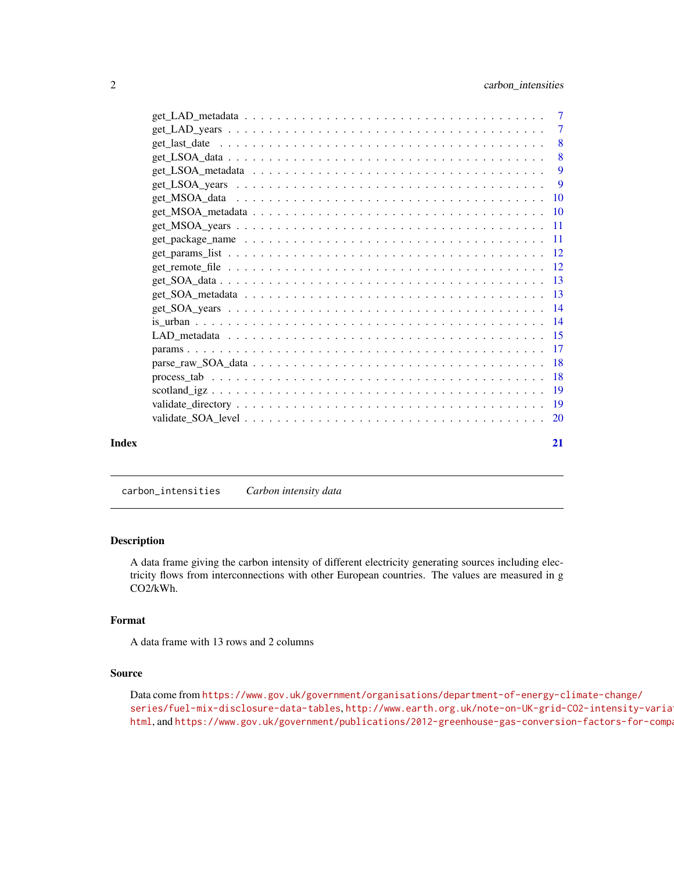<span id="page-1-0"></span>

|       | $\overline{\phantom{0}}8$ |
|-------|---------------------------|
|       |                           |
|       |                           |
|       |                           |
|       |                           |
|       |                           |
|       |                           |
|       |                           |
|       |                           |
|       |                           |
|       |                           |
|       |                           |
|       |                           |
|       |                           |
|       |                           |
|       |                           |
|       |                           |
|       |                           |
|       |                           |
|       |                           |
| Index | 21                        |

<span id="page-1-1"></span>carbon\_intensities *Carbon intensity data*

## Description

A data frame giving the carbon intensity of different electricity generating sources including electricity flows from interconnections with other European countries. The values are measured in g CO2/kWh.

## Format

A data frame with 13 rows and 2 columns

#### Source

Data come from [https://www.gov.uk/government/organisations/department-of-energy-c](https://www.gov.uk/government/organisations/department-of-energy-climate-change/series/fuel-mix-disclosure-data-tables)limate-change/ [series/fuel-mix-disclosure-data-tables](https://www.gov.uk/government/organisations/department-of-energy-climate-change/series/fuel-mix-disclosure-data-tables), [http://www.earth.org.uk/note-on-UK-grid-](http://www.earth.org.uk/note-on-UK-grid-CO2-intensity-variations.html)CO2-intensity-varia [html](http://www.earth.org.uk/note-on-UK-grid-CO2-intensity-variations.html), and https://www.gov.uk/government/publications/2012-greenhouse-gas-conversion-factors-for-comp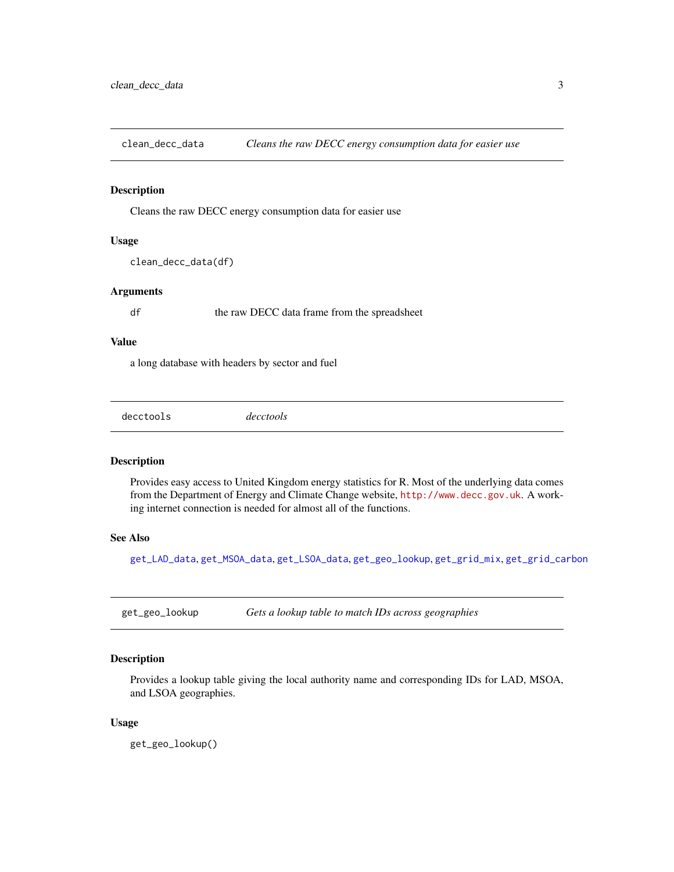<span id="page-2-0"></span>clean\_decc\_data *Cleans the raw DECC energy consumption data for easier use*

#### Description

Cleans the raw DECC energy consumption data for easier use

## Usage

```
clean_decc_data(df)
```
## Arguments

df the raw DECC data frame from the spreadsheet

#### Value

a long database with headers by sector and fuel

decctools *decctools*

## Description

Provides easy access to United Kingdom energy statistics for R. Most of the underlying data comes from the Department of Energy and Climate Change website, <http://www.decc.gov.uk>. A working internet connection is needed for almost all of the functions.

## See Also

[get\\_LAD\\_data](#page-5-1), [get\\_MSOA\\_data](#page-9-1), [get\\_LSOA\\_data](#page-7-1), [get\\_geo\\_lookup](#page-2-1), [get\\_grid\\_mix](#page-4-1), [get\\_grid\\_carbon](#page-3-1)

<span id="page-2-1"></span>get\_geo\_lookup *Gets a lookup table to match IDs across geographies*

## Description

Provides a lookup table giving the local authority name and corresponding IDs for LAD, MSOA, and LSOA geographies.

#### Usage

get\_geo\_lookup()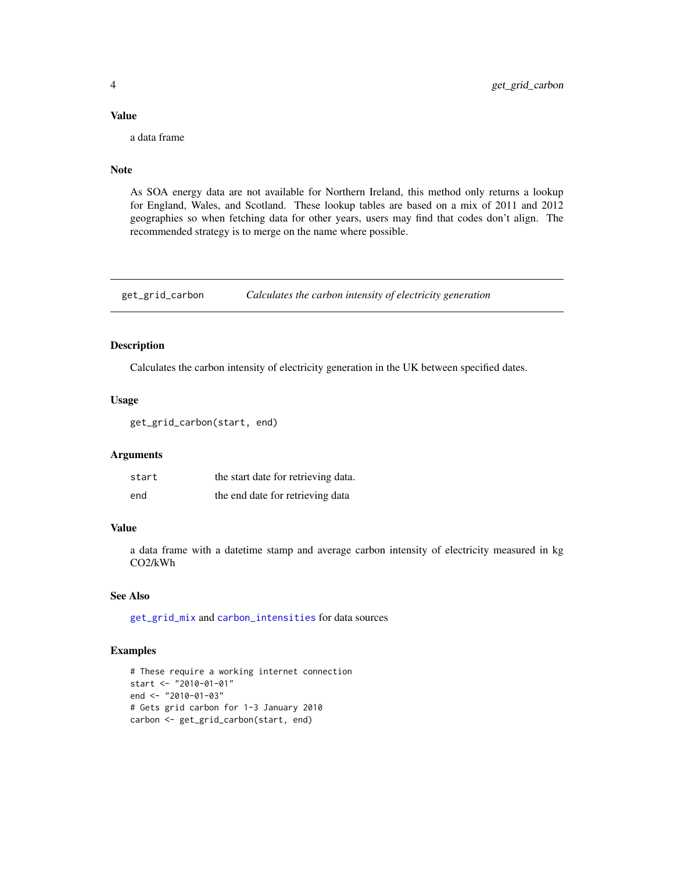## Value

a data frame

## Note

As SOA energy data are not available for Northern Ireland, this method only returns a lookup for England, Wales, and Scotland. These lookup tables are based on a mix of 2011 and 2012 geographies so when fetching data for other years, users may find that codes don't align. The recommended strategy is to merge on the name where possible.

<span id="page-3-1"></span>get\_grid\_carbon *Calculates the carbon intensity of electricity generation*

## Description

Calculates the carbon intensity of electricity generation in the UK between specified dates.

## Usage

get\_grid\_carbon(start, end)

## Arguments

| start | the start date for retrieving data. |
|-------|-------------------------------------|
| end   | the end date for retrieving data    |

## Value

a data frame with a datetime stamp and average carbon intensity of electricity measured in kg CO2/kWh

## See Also

[get\\_grid\\_mix](#page-4-1) and [carbon\\_intensities](#page-1-1) for data sources

## Examples

```
# These require a working internet connection
start <- "2010-01-01"
end <- "2010-01-03"
# Gets grid carbon for 1-3 January 2010
carbon <- get_grid_carbon(start, end)
```
<span id="page-3-0"></span>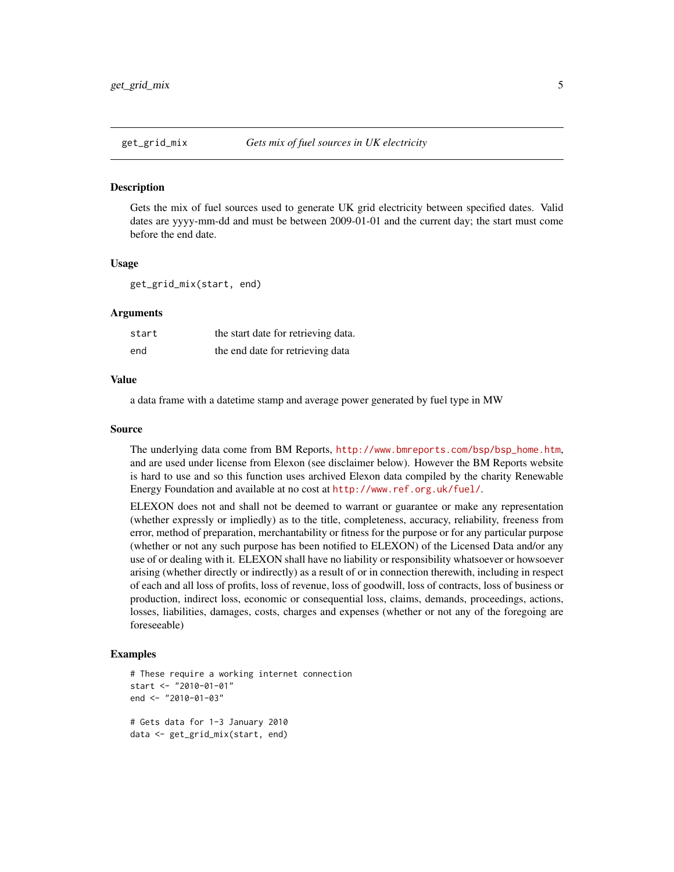<span id="page-4-1"></span><span id="page-4-0"></span>

Gets the mix of fuel sources used to generate UK grid electricity between specified dates. Valid dates are yyyy-mm-dd and must be between 2009-01-01 and the current day; the start must come before the end date.

#### Usage

get\_grid\_mix(start, end)

#### Arguments

| start | the start date for retrieving data. |
|-------|-------------------------------------|
| end   | the end date for retrieving data    |

#### Value

a data frame with a datetime stamp and average power generated by fuel type in MW

#### Source

The underlying data come from BM Reports, [http://www.bmreports.com/bsp/bsp\\_home.htm](http://www.bmreports.com/bsp/bsp_home.htm), and are used under license from Elexon (see disclaimer below). However the BM Reports website is hard to use and so this function uses archived Elexon data compiled by the charity Renewable Energy Foundation and available at no cost at <http://www.ref.org.uk/fuel/>.

ELEXON does not and shall not be deemed to warrant or guarantee or make any representation (whether expressly or impliedly) as to the title, completeness, accuracy, reliability, freeness from error, method of preparation, merchantability or fitness for the purpose or for any particular purpose (whether or not any such purpose has been notified to ELEXON) of the Licensed Data and/or any use of or dealing with it. ELEXON shall have no liability or responsibility whatsoever or howsoever arising (whether directly or indirectly) as a result of or in connection therewith, including in respect of each and all loss of profits, loss of revenue, loss of goodwill, loss of contracts, loss of business or production, indirect loss, economic or consequential loss, claims, demands, proceedings, actions, losses, liabilities, damages, costs, charges and expenses (whether or not any of the foregoing are foreseeable)

## Examples

```
# These require a working internet connection
start <- "2010-01-01"
end <- "2010-01-03"
# Gets data for 1-3 January 2010
data <- get_grid_mix(start, end)
```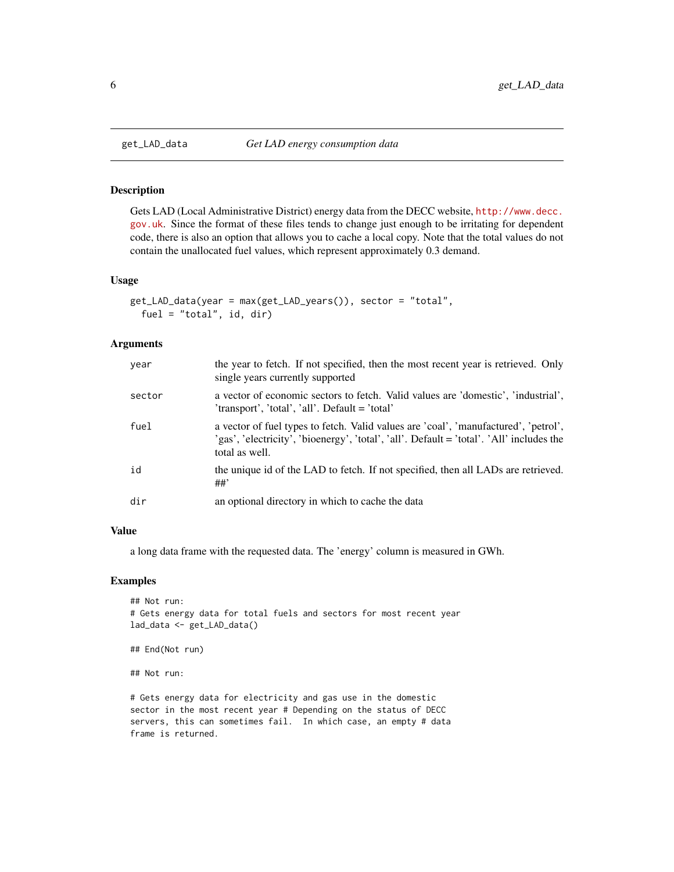Gets LAD (Local Administrative District) energy data from the DECC website, [http://www.decc.](http://www.decc.gov.uk) [gov.uk](http://www.decc.gov.uk). Since the format of these files tends to change just enough to be irritating for dependent code, there is also an option that allows you to cache a local copy. Note that the total values do not contain the unallocated fuel values, which represent approximately 0.3 demand.

#### Usage

```
get_LAD_data(year = max(get_LAD_years()), sector = "total",
 fuel = "total", id, dir)
```
#### **Arguments**

| year   | the year to fetch. If not specified, then the most recent year is retrieved. Only<br>single years currently supported                                                                             |
|--------|---------------------------------------------------------------------------------------------------------------------------------------------------------------------------------------------------|
| sector | a vector of economic sectors to fetch. Valid values are 'domestic', 'industrial',<br>'transport', 'total', 'all'. Default = 'total'                                                               |
| fuel   | a vector of fuel types to fetch. Valid values are 'coal', 'manufactured', 'petrol',<br>'gas', 'electricity', 'bioenergy', 'total', 'all'. Default = 'total'. 'All' includes the<br>total as well. |
| id     | the unique id of the LAD to fetch. If not specified, then all LADs are retrieved.<br>##                                                                                                           |
| dir    | an optional directory in which to cache the data                                                                                                                                                  |

#### Value

a long data frame with the requested data. The 'energy' column is measured in GWh.

### Examples

```
## Not run:
# Gets energy data for total fuels and sectors for most recent year
lad_data <- get_LAD_data()
## End(Not run)
## Not run:
```
# Gets energy data for electricity and gas use in the domestic sector in the most recent year # Depending on the status of DECC servers, this can sometimes fail. In which case, an empty # data frame is returned.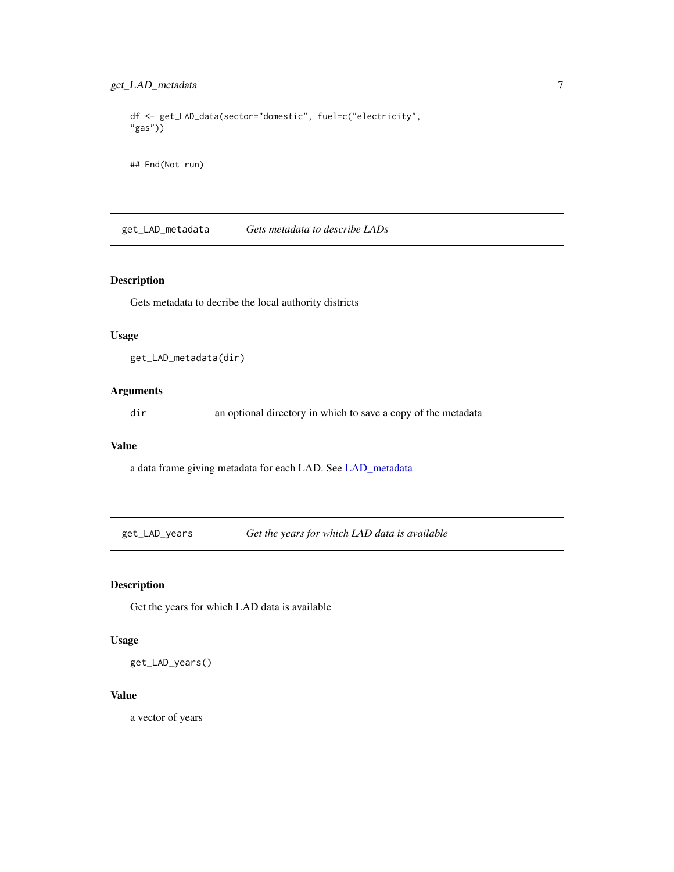```
df <- get_LAD_data(sector="domestic", fuel=c("electricity",
"gas"))
```
## End(Not run)

get\_LAD\_metadata *Gets metadata to describe LADs*

## Description

Gets metadata to decribe the local authority districts

## Usage

```
get_LAD_metadata(dir)
```
## Arguments

dir an optional directory in which to save a copy of the metadata

#### Value

a data frame giving metadata for each LAD. See [LAD\\_metadata](#page-14-1)

get\_LAD\_years *Get the years for which LAD data is available*

## Description

Get the years for which LAD data is available

#### Usage

get\_LAD\_years()

## Value

a vector of years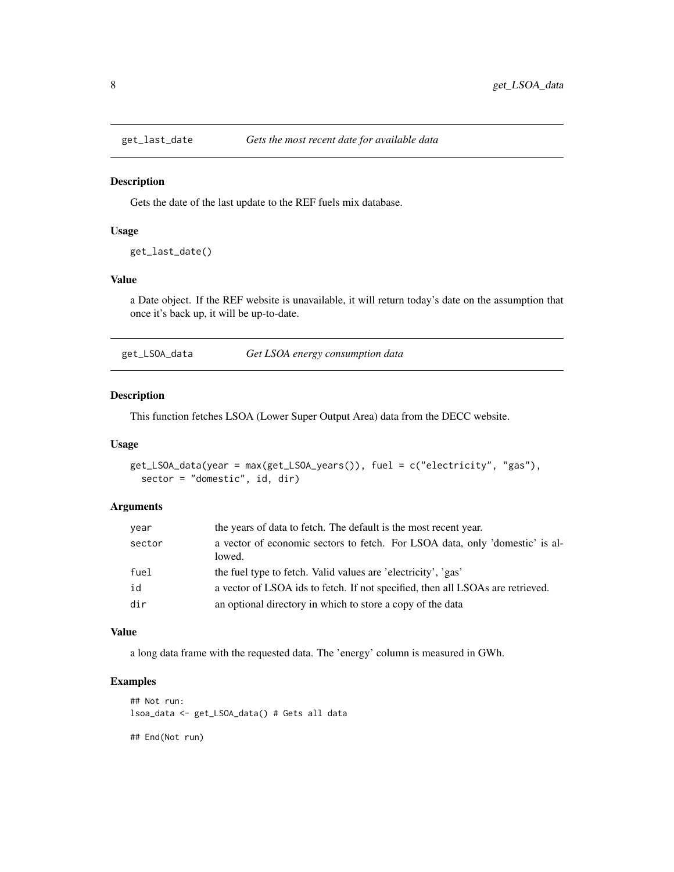<span id="page-7-0"></span>

Gets the date of the last update to the REF fuels mix database.

## Usage

```
get_last_date()
```
## Value

a Date object. If the REF website is unavailable, it will return today's date on the assumption that once it's back up, it will be up-to-date.

<span id="page-7-1"></span>

| get_LSOA_data | Get LSOA energy consumption data |
|---------------|----------------------------------|
|               |                                  |

#### Description

This function fetches LSOA (Lower Super Output Area) data from the DECC website.

#### Usage

```
get_LSOA_data(year = max(get_LSOA_years()), fuel = c("electricity", "gas"),
  sector = "domestic", id, dir)
```
### Arguments

| year   | the years of data to fetch. The default is the most recent year.                       |
|--------|----------------------------------------------------------------------------------------|
| sector | a vector of economic sectors to fetch. For LSOA data, only 'domestic' is al-<br>lowed. |
| fuel   | the fuel type to fetch. Valid values are 'electricity', 'gas'                          |
| id     | a vector of LSOA ids to fetch. If not specified, then all LSOAs are retrieved.         |
| dir    | an optional directory in which to store a copy of the data                             |

#### Value

a long data frame with the requested data. The 'energy' column is measured in GWh.

## Examples

```
## Not run:
lsoa_data <- get_LSOA_data() # Gets all data
## End(Not run)
```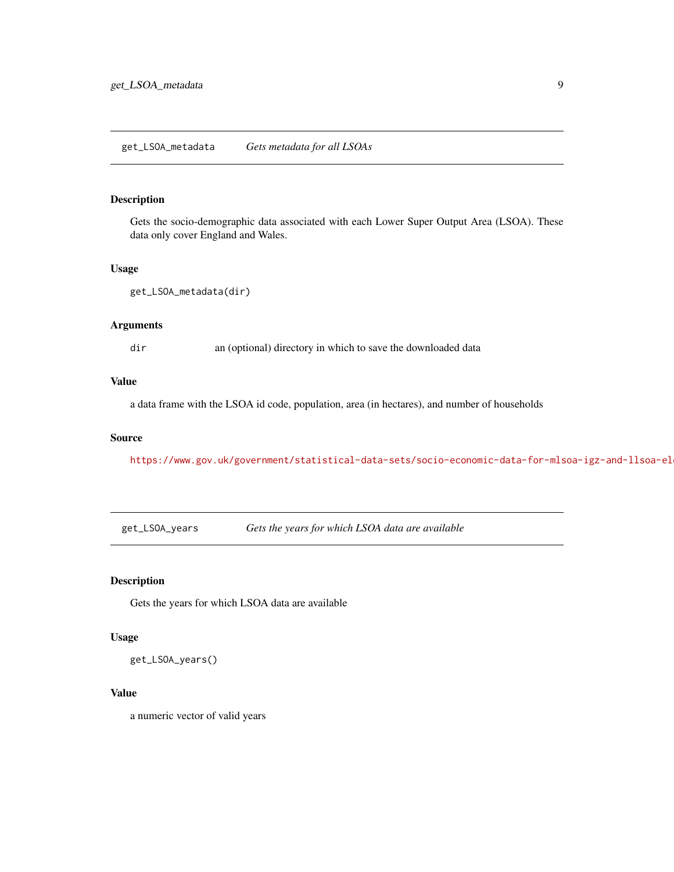#### <span id="page-8-0"></span>get\_LSOA\_metadata *Gets metadata for all LSOAs*

## Description

Gets the socio-demographic data associated with each Lower Super Output Area (LSOA). These data only cover England and Wales.

#### Usage

```
get_LSOA_metadata(dir)
```
#### Arguments

dir an (optional) directory in which to save the downloaded data

## Value

a data frame with the LSOA id code, population, area (in hectares), and number of households

#### Source

https://www.gov.uk/government/statistical-data-sets/socio-economic-data-for-mlsoa-igz-and-llsoa-el

get\_LSOA\_years *Gets the years for which LSOA data are available*

## Description

Gets the years for which LSOA data are available

## Usage

get\_LSOA\_years()

## Value

a numeric vector of valid years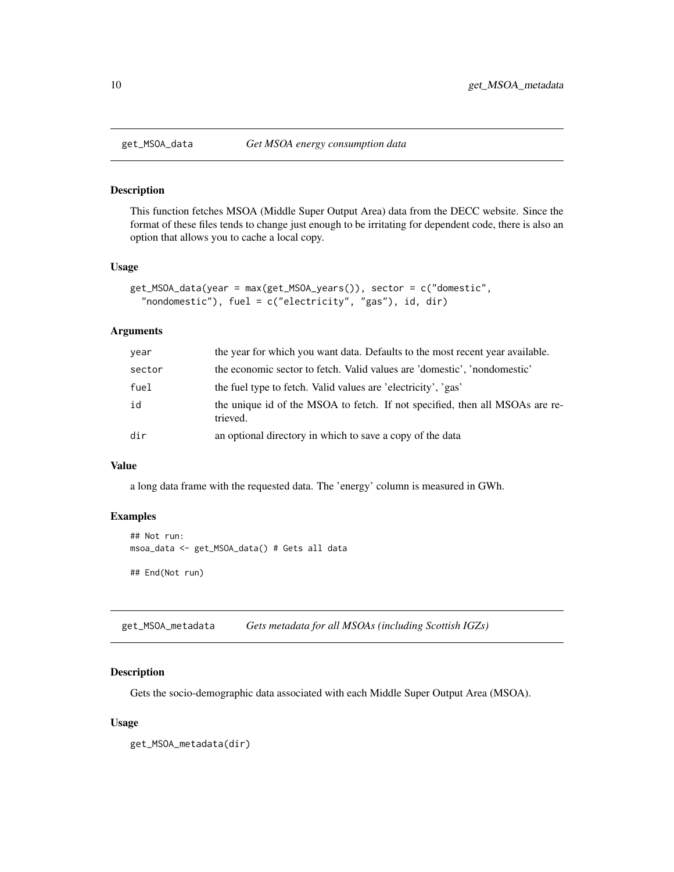<span id="page-9-1"></span><span id="page-9-0"></span>

This function fetches MSOA (Middle Super Output Area) data from the DECC website. Since the format of these files tends to change just enough to be irritating for dependent code, there is also an option that allows you to cache a local copy.

## Usage

```
get_MSOA_data(year = max(get_MSOA_years()), sector = c("domestic",
  "nondomestic"), fuel = c("electricity", "gas"), id, dir)
```
#### Arguments

| year   | the year for which you want data. Defaults to the most recent year available.            |
|--------|------------------------------------------------------------------------------------------|
| sector | the economic sector to fetch. Valid values are 'domestic', 'nondomestic'                 |
| fuel   | the fuel type to fetch. Valid values are 'electricity', 'gas'                            |
| id     | the unique id of the MSOA to fetch. If not specified, then all MSOAs are re-<br>trieved. |
| dir    | an optional directory in which to save a copy of the data                                |

## Value

a long data frame with the requested data. The 'energy' column is measured in GWh.

## Examples

```
## Not run:
msoa_data <- get_MSOA_data() # Gets all data
## End(Not run)
```
get\_MSOA\_metadata *Gets metadata for all MSOAs (including Scottish IGZs)*

## Description

Gets the socio-demographic data associated with each Middle Super Output Area (MSOA).

#### Usage

get\_MSOA\_metadata(dir)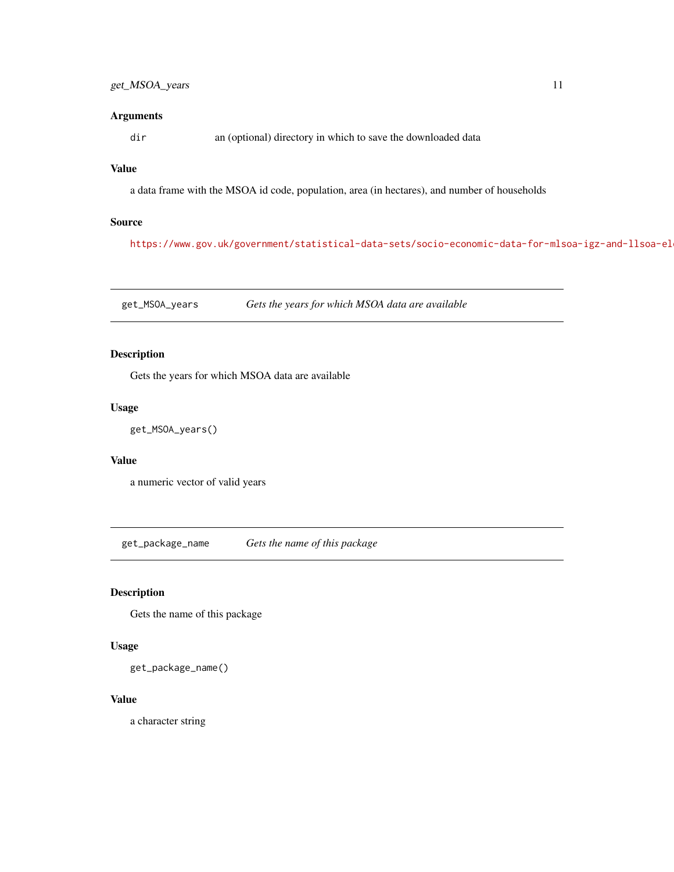## <span id="page-10-0"></span>Arguments

dir an (optional) directory in which to save the downloaded data

## Value

a data frame with the MSOA id code, population, area (in hectares), and number of households

## Source

https://www.gov.uk/government/statistical-data-sets/socio-economic-data-for-mlsoa-igz-and-llsoa-el

get\_MSOA\_years *Gets the years for which MSOA data are available*

## Description

Gets the years for which MSOA data are available

## Usage

get\_MSOA\_years()

## Value

a numeric vector of valid years

get\_package\_name *Gets the name of this package*

## Description

Gets the name of this package

#### Usage

get\_package\_name()

#### Value

a character string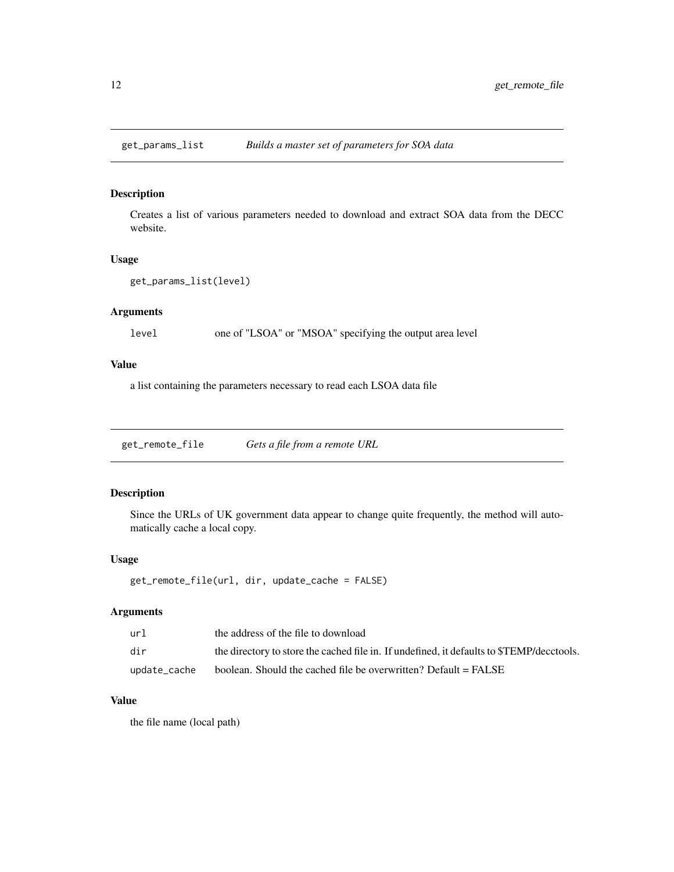<span id="page-11-0"></span>

Creates a list of various parameters needed to download and extract SOA data from the DECC website.

## Usage

```
get_params_list(level)
```
## Arguments

level one of "LSOA" or "MSOA" specifying the output area level

## Value

a list containing the parameters necessary to read each LSOA data file

get\_remote\_file *Gets a file from a remote URL*

## Description

Since the URLs of UK government data appear to change quite frequently, the method will automatically cache a local copy.

## Usage

```
get_remote_file(url, dir, update_cache = FALSE)
```
## Arguments

| url          | the address of the file to download                                                      |
|--------------|------------------------------------------------------------------------------------------|
| dir          | the directory to store the cached file in. If undefined, it defaults to STEMP/decetools. |
| update_cache | boolean. Should the cached file be overwritten? Default = FALSE                          |

#### Value

the file name (local path)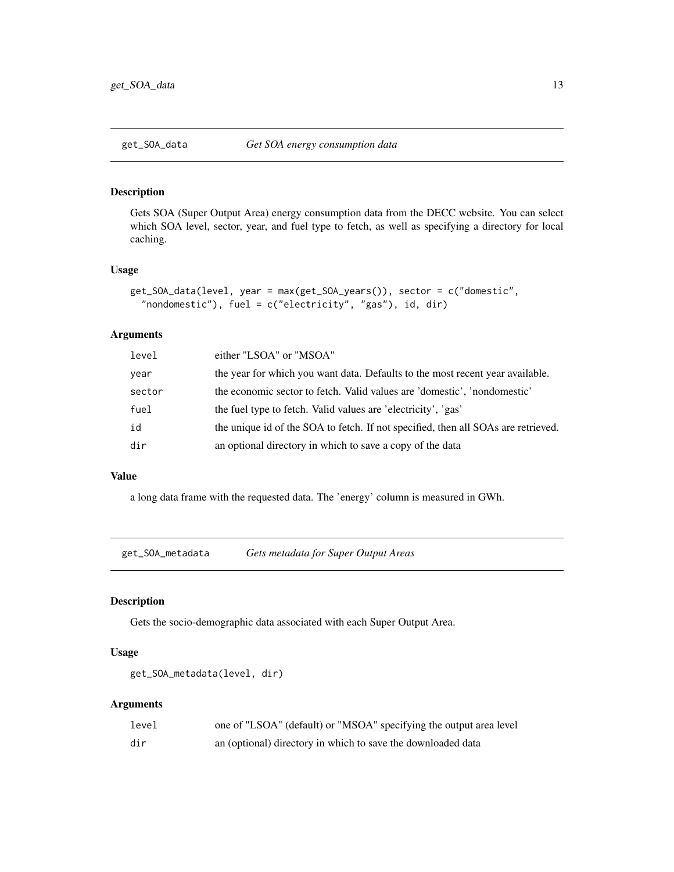<span id="page-12-1"></span><span id="page-12-0"></span>Gets SOA (Super Output Area) energy consumption data from the DECC website. You can select which SOA level, sector, year, and fuel type to fetch, as well as specifying a directory for local caching.

#### Usage

```
get_SOA_data(level, year = max(get_SOA_years()), sector = c("domestic",
  "nondomestic"), fuel = c("electricity", "gas"), id, dir)
```
## Arguments

| the year for which you want data. Defaults to the most recent year available.<br>year   |  |
|-----------------------------------------------------------------------------------------|--|
| the economic sector to fetch. Valid values are 'domestic', 'nondomestic'<br>sector      |  |
| fuel<br>the fuel type to fetch. Valid values are 'electricity', 'gas'                   |  |
| the unique id of the SOA to fetch. If not specified, then all SOAs are retrieved.<br>id |  |
| an optional directory in which to save a copy of the data<br>dir                        |  |

#### Value

a long data frame with the requested data. The 'energy' column is measured in GWh.

get\_SOA\_metadata *Gets metadata for Super Output Areas*

## Description

Gets the socio-demographic data associated with each Super Output Area.

## Usage

```
get_SOA_metadata(level, dir)
```
### Arguments

| level | one of "LSOA" (default) or "MSOA" specifying the output area level |
|-------|--------------------------------------------------------------------|
| dir   | an (optional) directory in which to save the downloaded data       |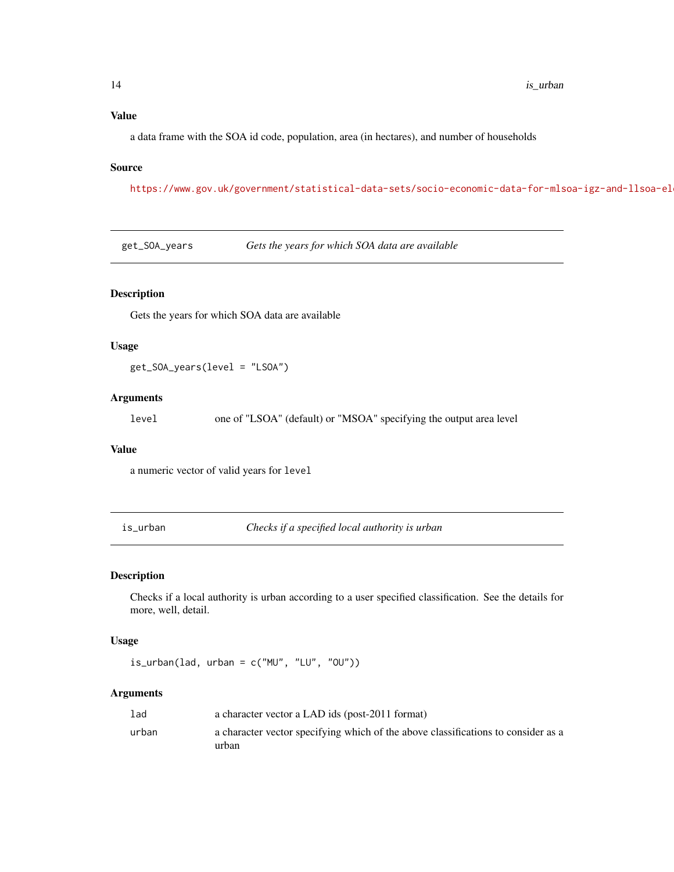## <span id="page-13-0"></span>Value

a data frame with the SOA id code, population, area (in hectares), and number of households

#### Source

https://www.gov.uk/government/statistical-data-sets/socio-economic-data-for-mlsoa-igz-and-llsoa-el

get\_SOA\_years *Gets the years for which SOA data are available*

#### Description

Gets the years for which SOA data are available

#### Usage

get\_SOA\_years(level = "LSOA")

#### Arguments

level one of "LSOA" (default) or "MSOA" specifying the output area level

## Value

a numeric vector of valid years for level

is\_urban *Checks if a specified local authority is urban*

## Description

Checks if a local authority is urban according to a user specified classification. See the details for more, well, detail.

## Usage

 $is\_urban(lad, urban = c("MU", "LU", "OU"))$ 

## Arguments

| lad   | a character vector a LAD ids (post-2011 format)                                   |
|-------|-----------------------------------------------------------------------------------|
| urban | a character vector specifying which of the above classifications to consider as a |
|       | urban                                                                             |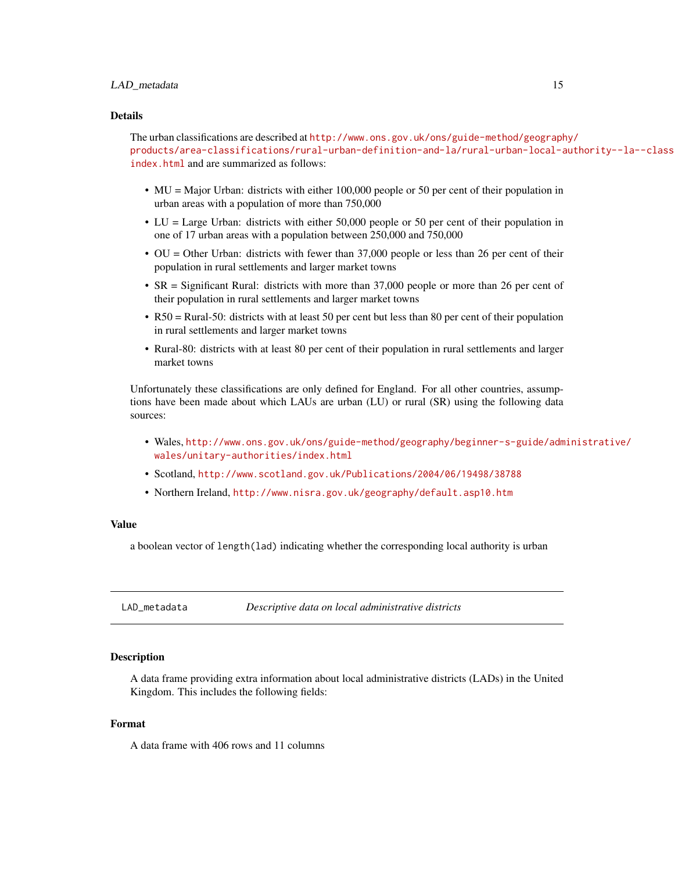#### <span id="page-14-0"></span>LAD\_metadata 15

#### Details

The urban classifications are described at [http://www.ons.gov.uk/ons/guide-method/geograph](http://www.ons.gov.uk/ons/guide-method/geography/products/area-classifications/rural-urban-definition-and-la/rural-urban-local-authority--la--classification--england-/index.html)y/ [products/area-classifications/rural-urban-definition-and-la/rural-urban-local-a](http://www.ons.gov.uk/ons/guide-method/geography/products/area-classifications/rural-urban-definition-and-la/rural-urban-local-authority--la--classification--england-/index.html)uthority--la--class [index.html](http://www.ons.gov.uk/ons/guide-method/geography/products/area-classifications/rural-urban-definition-and-la/rural-urban-local-authority--la--classification--england-/index.html) and are summarized as follows:

- MU = Major Urban: districts with either 100,000 people or 50 per cent of their population in urban areas with a population of more than 750,000
- LU = Large Urban: districts with either 50,000 people or 50 per cent of their population in one of 17 urban areas with a population between 250,000 and 750,000
- OU = Other Urban: districts with fewer than 37,000 people or less than 26 per cent of their population in rural settlements and larger market towns
- SR = Significant Rural: districts with more than 37,000 people or more than 26 per cent of their population in rural settlements and larger market towns
- R50 = Rural-50: districts with at least 50 per cent but less than 80 per cent of their population in rural settlements and larger market towns
- Rural-80: districts with at least 80 per cent of their population in rural settlements and larger market towns

Unfortunately these classifications are only defined for England. For all other countries, assumptions have been made about which LAUs are urban (LU) or rural (SR) using the following data sources:

- Wales, [http://www.ons.gov.uk/ons/guide-method/geography/beginner-s-guide/adm](http://www.ons.gov.uk/ons/guide-method/geography/beginner-s-guide/administrative/wales/unitary-authorities/index.html)inistrative/ [wales/unitary-authorities/index.html](http://www.ons.gov.uk/ons/guide-method/geography/beginner-s-guide/administrative/wales/unitary-authorities/index.html)
- Scotland, <http://www.scotland.gov.uk/Publications/2004/06/19498/38788>
- Northern Ireland, <http://www.nisra.gov.uk/geography/default.asp10.htm>

#### Value

a boolean vector of length(lad) indicating whether the corresponding local authority is urban

<span id="page-14-1"></span>LAD\_metadata *Descriptive data on local administrative districts*

#### **Description**

A data frame providing extra information about local administrative districts (LADs) in the United Kingdom. This includes the following fields:

## Format

A data frame with 406 rows and 11 columns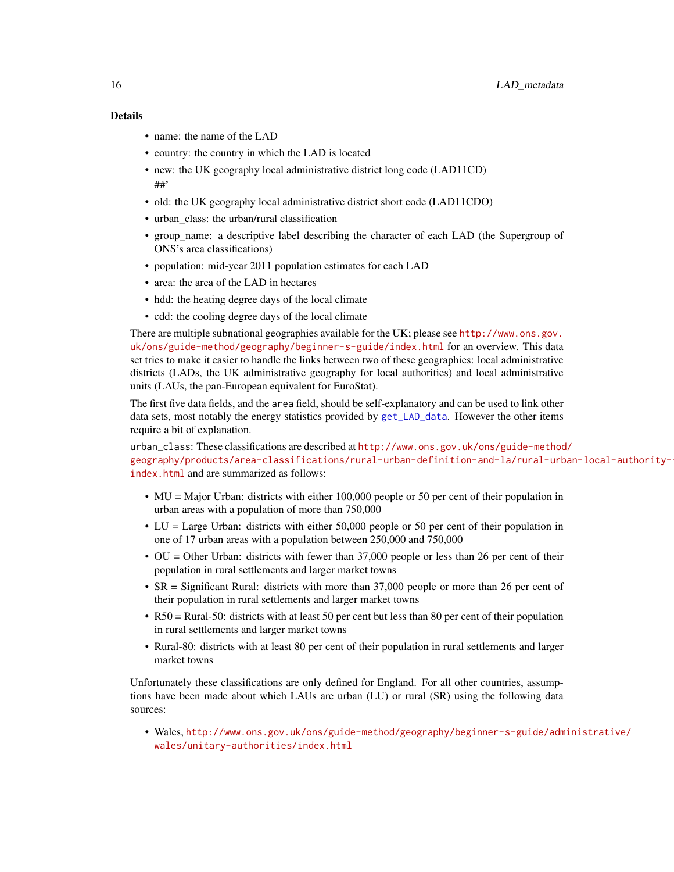## <span id="page-15-0"></span>Details

- name: the name of the LAD
- country: the country in which the LAD is located
- new: the UK geography local administrative district long code (LAD11CD) ##'
- old: the UK geography local administrative district short code (LAD11CDO)
- urban class: the urban/rural classification
- group\_name: a descriptive label describing the character of each LAD (the Supergroup of ONS's area classifications)
- population: mid-year 2011 population estimates for each LAD
- area: the area of the LAD in hectares
- hdd: the heating degree days of the local climate
- cdd: the cooling degree days of the local climate

There are multiple subnational geographies available for the UK; please see [http://www.ons.gov.](http://www.ons.gov.uk/ons/guide-method/geography/beginner-s-guide/index.html) [uk/ons/guide-method/geography/beginner-s-guide/index.html](http://www.ons.gov.uk/ons/guide-method/geography/beginner-s-guide/index.html) for an overview. This data set tries to make it easier to handle the links between two of these geographies: local administrative districts (LADs, the UK administrative geography for local authorities) and local administrative units (LAUs, the pan-European equivalent for EuroStat).

The first five data fields, and the area field, should be self-explanatory and can be used to link other data sets, most notably the energy statistics provided by [get\\_LAD\\_data](#page-5-1). However the other items require a bit of explanation.

urban\_class: These classifications are described at [http://www.ons.gov.uk/ons/guide-method](http://www.ons.gov.uk/ons/guide-method/geography/products/area-classifications/rural-urban-definition-and-la/rural-urban-local-authority--la--classification--england-/index.html)/ [geography/products/area-classifications/rural-urban-definition-and-la/rural-urb](http://www.ons.gov.uk/ons/guide-method/geography/products/area-classifications/rural-urban-definition-and-la/rural-urban-local-authority--la--classification--england-/index.html)an-local-authority[index.html](http://www.ons.gov.uk/ons/guide-method/geography/products/area-classifications/rural-urban-definition-and-la/rural-urban-local-authority--la--classification--england-/index.html) and are summarized as follows:

- MU = Major Urban: districts with either 100,000 people or 50 per cent of their population in urban areas with a population of more than 750,000
- LU = Large Urban: districts with either 50,000 people or 50 per cent of their population in one of 17 urban areas with a population between 250,000 and 750,000
- OU = Other Urban: districts with fewer than 37,000 people or less than 26 per cent of their population in rural settlements and larger market towns
- SR = Significant Rural: districts with more than 37,000 people or more than 26 per cent of their population in rural settlements and larger market towns
- R50 = Rural-50: districts with at least 50 per cent but less than 80 per cent of their population in rural settlements and larger market towns
- Rural-80: districts with at least 80 per cent of their population in rural settlements and larger market towns

Unfortunately these classifications are only defined for England. For all other countries, assumptions have been made about which LAUs are urban (LU) or rural (SR) using the following data sources:

• Wales, [http://www.ons.gov.uk/ons/guide-method/geography/beginner-s-guide/adm](http://www.ons.gov.uk/ons/guide-method/geography/beginner-s-guide/administrative/wales/unitary-authorities/index.html)inistrative/ [wales/unitary-authorities/index.html](http://www.ons.gov.uk/ons/guide-method/geography/beginner-s-guide/administrative/wales/unitary-authorities/index.html)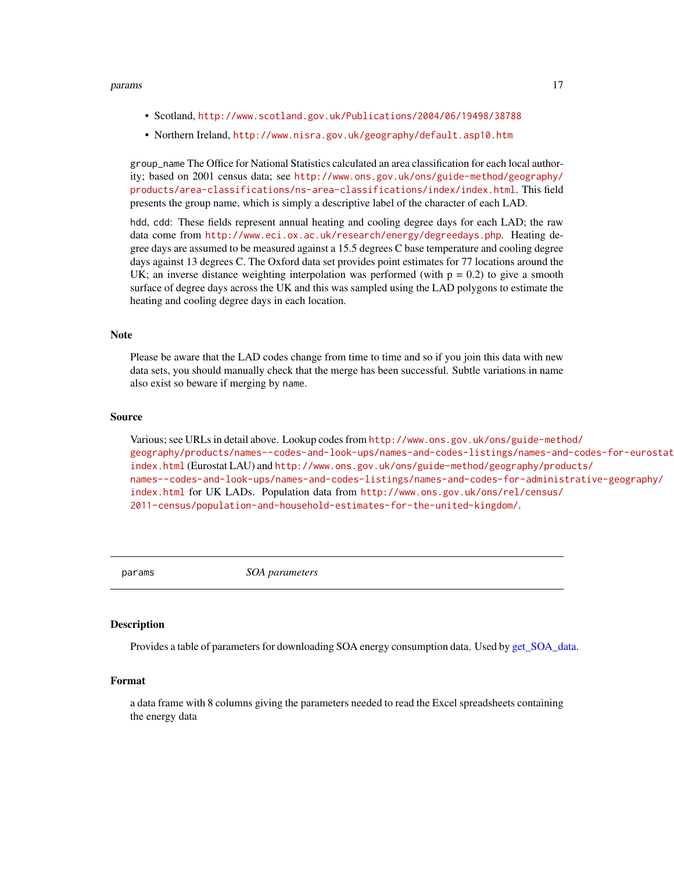#### <span id="page-16-0"></span>params and the contract of the contract of the contract of the contract of the contract of the contract of the contract of the contract of the contract of the contract of the contract of the contract of the contract of the

- Scotland, <http://www.scotland.gov.uk/Publications/2004/06/19498/38788>
- Northern Ireland, <http://www.nisra.gov.uk/geography/default.asp10.htm>

group\_name The Office for National Statistics calculated an area classification for each local authority; based on 2001 census data; see [http://www.ons.gov.uk/ons/guide-method/geography/](http://www.ons.gov.uk/ons/guide-method/geography/products/area-classifications/ns-area-classifications/index/index.html) [products/area-classifications/ns-area-classifications/index/index.html](http://www.ons.gov.uk/ons/guide-method/geography/products/area-classifications/ns-area-classifications/index/index.html). This field presents the group name, which is simply a descriptive label of the character of each LAD.

hdd, cdd: These fields represent annual heating and cooling degree days for each LAD; the raw data come from <http://www.eci.ox.ac.uk/research/energy/degreedays.php>. Heating degree days are assumed to be measured against a 15.5 degrees C base temperature and cooling degree days against 13 degrees C. The Oxford data set provides point estimates for 77 locations around the UK; an inverse distance weighting interpolation was performed (with  $p = 0.2$ ) to give a smooth surface of degree days across the UK and this was sampled using the LAD polygons to estimate the heating and cooling degree days in each location.

#### **Note**

Please be aware that the LAD codes change from time to time and so if you join this data with new data sets, you should manually check that the merge has been successful. Subtle variations in name also exist so beware if merging by name.

#### Source

Various; see URLs in detail above. Lookup codes from [http://www.ons.gov.uk/ons/guide-meth](http://www.ons.gov.uk/ons/guide-method/geography/products/names--codes-and-look-ups/names-and-codes-listings/names-and-codes-for-eurostat-geography/index.html)od/ [geography/products/names--codes-and-look-ups/names-and-codes-listings/names-and](http://www.ons.gov.uk/ons/guide-method/geography/products/names--codes-and-look-ups/names-and-codes-listings/names-and-codes-for-eurostat-geography/index.html)-codes-for-eurostat-geography/ [index.html](http://www.ons.gov.uk/ons/guide-method/geography/products/names--codes-and-look-ups/names-and-codes-listings/names-and-codes-for-eurostat-geography/index.html) (Eurostat LAU) and [http://www.ons.gov.uk/ons/guide-method/geography/prod](http://www.ons.gov.uk/ons/guide-method/geography/products/names--codes-and-look-ups/names-and-codes-listings/names-and-codes-for-administrative-geography/index.html)ucts/ [names--codes-and-look-ups/names-and-codes-listings/names-and-codes-for-administ](http://www.ons.gov.uk/ons/guide-method/geography/products/names--codes-and-look-ups/names-and-codes-listings/names-and-codes-for-administrative-geography/index.html)rative-geography/ [index.html](http://www.ons.gov.uk/ons/guide-method/geography/products/names--codes-and-look-ups/names-and-codes-listings/names-and-codes-for-administrative-geography/index.html) for UK LADs. Population data from [http://www.ons.gov.uk/ons/rel/census/](http://www.ons.gov.uk/ons/rel/census/2011-census/population-and-household-estimates-for-the-united-kingdom/) [2011-census/population-and-household-estimates-for-the-united-kingdom/](http://www.ons.gov.uk/ons/rel/census/2011-census/population-and-household-estimates-for-the-united-kingdom/).

params *SOA parameters*

#### **Description**

Provides a table of parameters for downloading SOA energy consumption data. Used by [get\\_SOA\\_data.](#page-12-1)

## Format

a data frame with 8 columns giving the parameters needed to read the Excel spreadsheets containing the energy data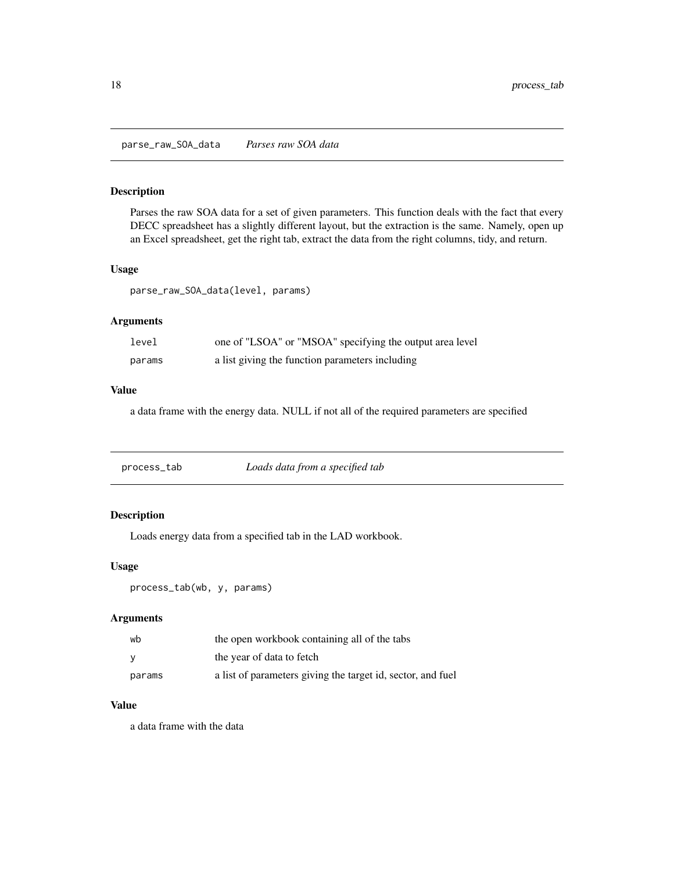<span id="page-17-0"></span>Parses the raw SOA data for a set of given parameters. This function deals with the fact that every DECC spreadsheet has a slightly different layout, but the extraction is the same. Namely, open up an Excel spreadsheet, get the right tab, extract the data from the right columns, tidy, and return.

#### Usage

parse\_raw\_SOA\_data(level, params)

## Arguments

| level  | one of "LSOA" or "MSOA" specifying the output area level |
|--------|----------------------------------------------------------|
| params | a list giving the function parameters including          |

### Value

a data frame with the energy data. NULL if not all of the required parameters are specified

| process_tab | Loads data from a specified tab |
|-------------|---------------------------------|
|             |                                 |

## Description

Loads energy data from a specified tab in the LAD workbook.

## Usage

process\_tab(wb, y, params)

## Arguments

| wb       | the open workbook containing all of the tabs                |
|----------|-------------------------------------------------------------|
| <b>V</b> | the year of data to fetch                                   |
| params   | a list of parameters giving the target id, sector, and fuel |

## Value

a data frame with the data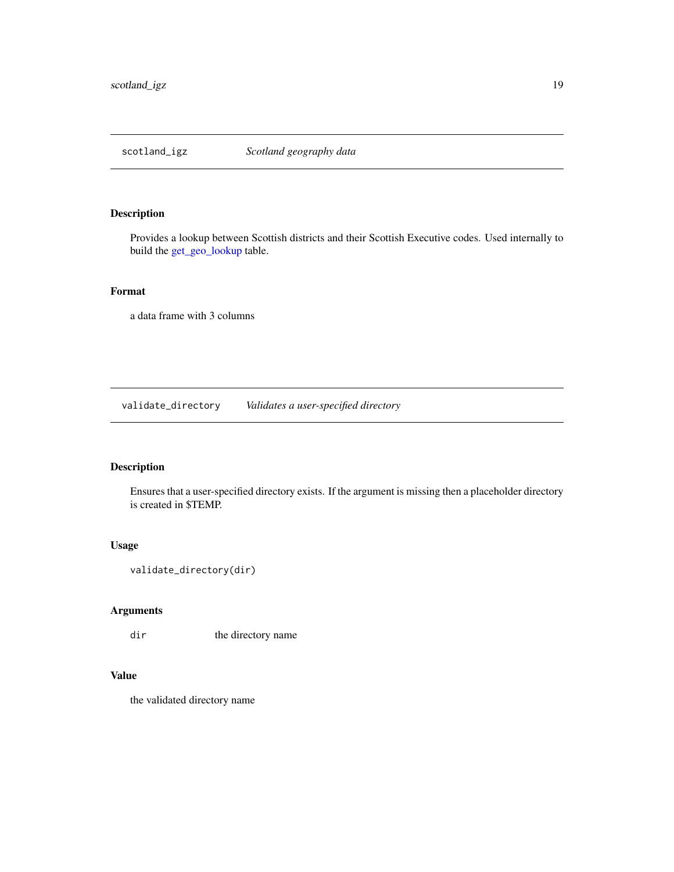<span id="page-18-0"></span>

Provides a lookup between Scottish districts and their Scottish Executive codes. Used internally to build the [get\\_geo\\_lookup](#page-2-1) table.

## Format

a data frame with 3 columns

validate\_directory *Validates a user-specified directory*

## Description

Ensures that a user-specified directory exists. If the argument is missing then a placeholder directory is created in \$TEMP.

## Usage

```
validate_directory(dir)
```
## Arguments

dir the directory name

## Value

the validated directory name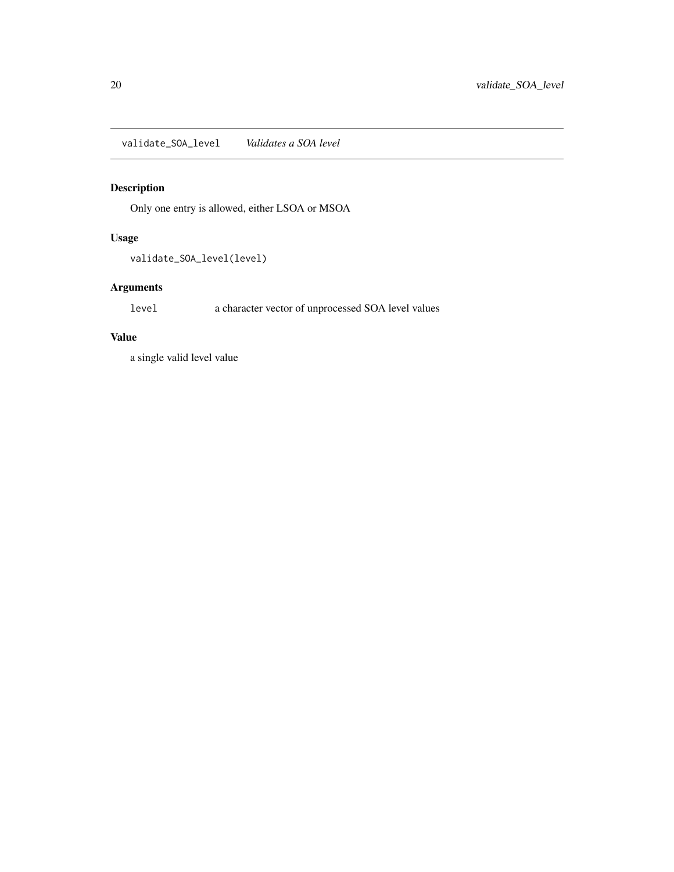<span id="page-19-0"></span>validate\_SOA\_level *Validates a SOA level*

## Description

Only one entry is allowed, either LSOA or MSOA

## Usage

validate\_SOA\_level(level)

## Arguments

level a character vector of unprocessed SOA level values

## Value

a single valid level value